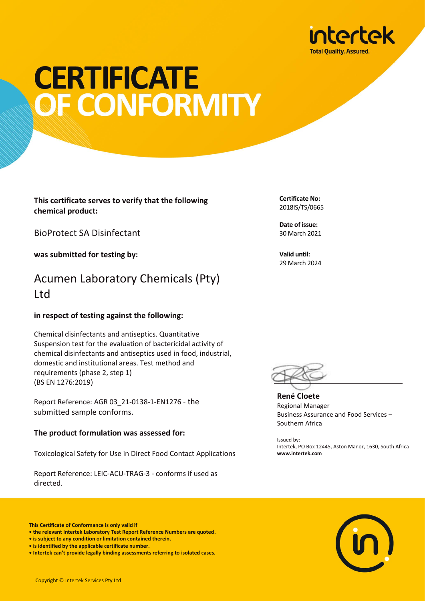

# **CERTIFICATE** OF CONFORMITY

**This certificate serves to verify that the following chemical product:**

BioProtect SA Disinfectant

**was submitted for testing by:**

## Acumen Laboratory Chemicals (Pty) Ltd

### **in respect of testing against the following:**

Chemical disinfectants and antiseptics. Quantitative Suspension test for the evaluation of bactericidal activity of chemical disinfectants and antiseptics used in food, industrial, domestic and institutional areas. Test method and requirements (phase 2, step 1) (BS EN 1276:2019)

Report Reference: AGR 03\_21-0138-1-EN1276 - the submitted sample conforms.

#### **The product formulation was assessed for:**

Toxicological Safety for Use in Direct Food Contact Applications

Report Reference: LEIC-ACU-TRAG-3 - conforms if used as directed.

**Certificate No:**  2018IS/TS/0665

**Date of issue:** 30 March 2021

**Valid until:** 29 March 2024



**René Cloete** Regional Manager Business Assurance and Food Services – Southern Africa

Issued by: Intertek, PO Box 12445, Aston Manor, 1630, South Africa **www.intertek.com**



**This Certificate of Conformance is only valid if** 

- **is subject to any condition or limitation contained therein.**
- **is identified by the applicable certificate number.**

**<sup>•</sup> the relevant Intertek Laboratory Test Report Reference Numbers are quoted.**

**<sup>•</sup> Intertek can't provide legally binding assessments referring to isolated cases.**